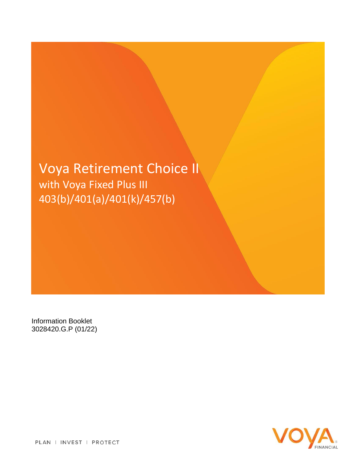# Voya Retirement Choice II with Voya Fixed Plus III 403(b)/401(a)/401(k)/457(b)

Information Booklet 3028420.G.P (01/22)



PLAN | INVEST | PROTECT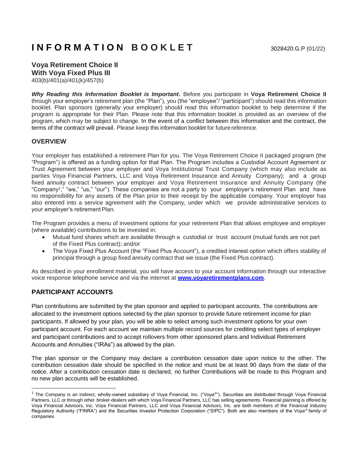## **Voya Retirement Choice II With Voya Fixed Plus III**

403(b)/401(a)/401(k)/457(b)

*Why Reading this Information Booklet is Important***.** Before you participate in **Voya Retirement Choice II**  through your employer's retirement plan (the "Plan"), you (the "employee"/ "participant") should read this information booklet. Plan sponsors (generally your employer) should read this information booklet to help determine if the program is appropriate for their Plan. Please note that this information booklet is provided as an overview of the program, which may be subject to change. In the event of a conflict between this information and the contract, the terms of the contract will prevail. Please keep this information booklet for futurereference.

## **OVERVIEW**

Your employer has established a retirement Plan for you. The Voya Retirement Choice II packaged program (the "Program") is offered as a funding option for that Plan. The Program includes a Custodial Account Agreement or Trust Agreement between your employer and Voya Institutional Trust Company (which may also include as parties Voya Financial Partners, LLC and Voya Retirement Insurance and Annuity Company); and a group fixed annuity contract between your employer and Voya Retirement Insurance and Annuity Company (the "Company<sup>1</sup> ," "we," "us," "our"). These companies are not a party to your employer's retirement Plan and have no responsibility for any assets of the Plan prior to their receipt by the applicable company. Your employer has also entered into a service agreement with the Company, under which we provide administrative services to your employer's retirement Plan.

The Program provides a menu of investment options for your retirement Plan that allows employee and employer (where available) contributions to be invested in:

- Mutual fund shares which are available through a custodial or trust account (mutual funds are not part of the Fixed Plus contract); and/or
- The Voya Fixed Plus Account (the "Fixed Plus Account"), a credited interest option which offers stability of principal through a group fixed annuity contract that we issue (the Fixed Plus contract).

As described in your enrollment material, you will have access to your account information through our interactive voice response telephone service and via the internet at **[www.voyaretirementplans.com](http://www.voyaretirementplans.com/)**.

## **PARTICIPANT ACCOUNTS**

Plan contributions are submitted by the plan sponsor and applied to participant accounts. The contributions are allocated to the investment options selected by the plan sponsor to provide future retirement income for plan participants. If allowed by your plan, you will be able to select among such investment options for your own participant account. For each account we maintain multiple record sources for crediting select types of employer and participant contributions and to accept rollovers from other sponsored plans and Individual Retirement Accounts and Annuities ("IRAs") as allowed by the plan.

The plan sponsor or the Company may declare a contribution cessation date upon notice to the other. The contribution cessation date should be specified in the notice and must be at least 90 days from the date of the notice. After a contribution cessation date is declared, no further Contributions will be made to this Program and no new plan accounts will be established.

<sup>&</sup>lt;sup>1</sup> The Company is an indirect, wholly-owned subsidiary of Voya Financial, Inc. ("Voya®"). Securities are distributed through Voya Financial Partners, LLC or through other broker-dealers with which Voya Financial Partners, LLC has selling agreements. Financial planning is offered by Voya Financial Advisors, Inc. Voya Financial Partners, LLC and Voya Financial Advisors, Inc. are both members of the Financial Industry Regulatory Authority ("FINRA") and the Securities Investor Protection Corporation ("SIPC"). Both are also members of the Voya® family of companies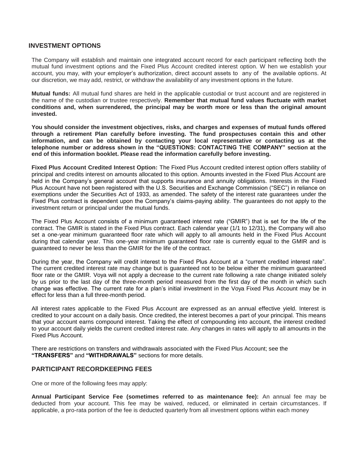#### **INVESTMENT OPTIONS**

The Company will establish and maintain one integrated account record for each participant reflecting both the mutual fund investment options and the Fixed Plus Account credited interest option. W hen we establish your account, you may, with your employer's authorization, direct account assets to any of the available options. At our discretion, we may add, restrict, or withdraw the availability of any investment options in the future.

**Mutual funds:** All mutual fund shares are held in the applicable custodial or trust account and are registered in the name of the custodian or trustee respectively. **Remember that mutual fund values fluctuate with market conditions and, when surrendered, the principal may be worth more or less than the original amount invested.**

**You should consider the investment objectives, risks, and charges and expenses of mutual funds offered through a retirement Plan carefully before investing. The fund prospectuses contain this and other information, and can be obtained by contacting your local representative or contacting us at the telephone number or address shown in the "QUESTIONS: CONTACTING THE COMPANY" section at the end of this information booklet. Please read the information carefully before investing.**

**Fixed Plus Account Credited Interest Option:** The Fixed Plus Account credited interest option offers stability of principal and credits interest on amounts allocated to this option. Amounts invested in the Fixed Plus Account are held in the Company's general account that supports insurance and annuity obligations. Interests in the Fixed Plus Account have not been registered with the U.S. Securities and Exchange Commission ("SEC") in reliance on exemptions under the Securities Act of 1933, as amended. The safety of the interest rate guarantees under the Fixed Plus contract is dependent upon the Company's claims-paying ability. The guarantees do not apply to the investment return or principal under the mutual funds.

The Fixed Plus Account consists of a minimum guaranteed interest rate ("GMIR") that is set for the life of the contract. The GMIR is stated in the Fixed Plus contract. Each calendar year (1/1 to 12/31), the Company will also set a one-year minimum guaranteed floor rate which will apply to all amounts held in the Fixed Plus Account during that calendar year. This one-year minimum guaranteed floor rate is currently equal to the GMIR and is guaranteed to never be less than the GMIR for the life of the contract.

During the year, the Company will credit interest to the Fixed Plus Account at a "current credited interest rate". The current credited interest rate may change but is guaranteed not to be below either the minimum guaranteed floor rate or the GMIR. Voya will not apply a decrease to the current rate following a rate change initiated solely by us prior to the last day of the three-month period measured from the first day of the month in which such change was effective. The current rate for a plan's initial investment in the Voya Fixed Plus Account may be in effect for less than a full three-month period.

All interest rates applicable to the Fixed Plus Account are expressed as an annual effective yield. Interest is credited to your account on a daily basis. Once credited, the interest becomes a part of your principal. This means that your account earns compound interest. Taking the effect of compounding into account, the interest credited to your account daily yields the current credited interest rate. Any changes in rates will apply to all amounts in the Fixed Plus Account.

There are restrictions on transfers and withdrawals associated with the Fixed Plus Account; see the **"TRANSFERS"** and **"WITHDRAWALS"** sections for more details.

#### **PARTICIPANT RECORDKEEPING FEES**

One or more of the following fees may apply:

**Annual Participant Service Fee (sometimes referred to as maintenance fee):** An annual fee may be deducted from your account. This fee may be waived, reduced, or eliminated in certain circumstances. If applicable, a pro-rata portion of the fee is deducted quarterly from all investment options within each money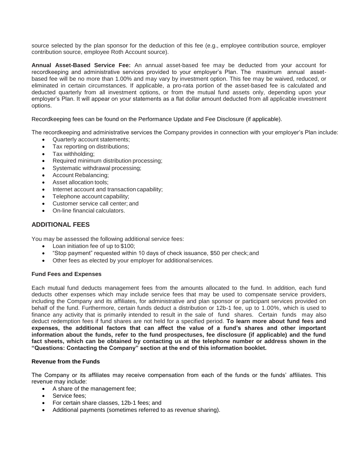source selected by the plan sponsor for the deduction of this fee (e.g., employee contribution source, employer contribution source, employee Roth Account source).

**Annual Asset-Based Service Fee:** An annual asset-based fee may be deducted from your account for recordkeeping and administrative services provided to your employer's Plan. The maximum annual assetbased fee will be no more than 1.00% and may vary by investment option. This fee may be waived, reduced, or eliminated in certain circumstances. If applicable, a pro-rata portion of the asset-based fee is calculated and deducted quarterly from all investment options, or from the mutual fund assets only, depending upon your employer's Plan. It will appear on your statements as a flat dollar amount deducted from all applicable investment options.

Recordkeeping fees can be found on the Performance Update and Fee Disclosure (if applicable).

The recordkeeping and administrative services the Company provides in connection with your employer's Plan include:

- Quarterly account statements;
- Tax reporting on distributions;
- Tax withholding;
- Required minimum distribution processing;
- Systematic withdrawal processing;
- Account Rebalancing;
- Asset allocation tools;
- Internet account and transaction capability;
- Telephone account capability;
- Customer service call center; and
- On-line financial calculators.

### **ADDITIONAL FEES**

You may be assessed the following additional service fees:

- Loan initiation fee of up to \$100;
- "Stop payment" requested within 10 days of check issuance, \$50 per check;and
- Other fees as elected by your employer for additional services.

#### **Fund Fees and Expenses**

Each mutual fund deducts management fees from the amounts allocated to the fund. In addition, each fund deducts other expenses which may include service fees that may be used to compensate service providers, including the Company and its affiliates, for administrative and plan sponsor or participant services provided on behalf of the fund. Furthermore, certain funds deduct a distribution or 12b-1 fee, up to 1.00%, which is used to finance any activity that is primarily intended to result in the sale of fund shares. Certain funds may also deduct redemption fees if fund shares are not held for a specified period. **To learn more about fund fees and expenses, the additional factors that can affect the value of a fund's shares and other important information about the funds, refer to the fund prospectuses, fee disclosure (if applicable) and the fund fact sheets, which can be obtained by contacting us at the telephone number or address shown in the "Questions: Contacting the Company" section at the end of this information booklet.**

#### **Revenue from the Funds**

The Company or its affiliates may receive compensation from each of the funds or the funds' affiliates. This revenue may include:

- A share of the management fee;
- Service fees:
- For certain share classes, 12b-1 fees; and
- Additional payments (sometimes referred to as revenue sharing).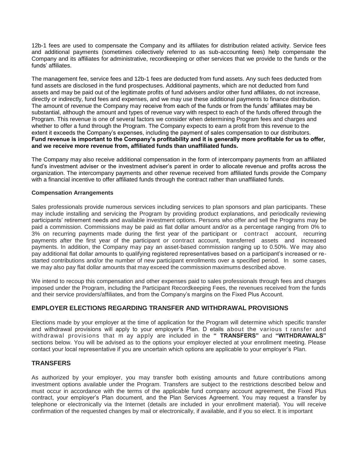12b-1 fees are used to compensate the Company and its affiliates for distribution related activity. Service fees and additional payments (sometimes collectively referred to as sub-accounting fees) help compensate the Company and its affiliates for administrative, recordkeeping or other services that we provide to the funds or the funds' affiliates.

The management fee, service fees and 12b-1 fees are deducted from fund assets. Any such fees deducted from fund assets are disclosed in the fund prospectuses. Additional payments, which are not deducted from fund assets and may be paid out of the legitimate profits of fund advisers and/or other fund affiliates, do not increase, directly or indirectly, fund fees and expenses, and we may use these additional payments to finance distribution. The amount of revenue the Company may receive from each of the funds or from the funds' affiliates may be substantial, although the amount and types of revenue vary with respect to each of the funds offered through the Program. This revenue is one of several factors we consider when determining Program fees and charges and whether to offer a fund through the Program. The Company expects to earn a profit from this revenue to the extent it exceeds the Company's expenses, including the payment of sales compensation to our distributors. **Fund revenue is important to the Company's profitability and it is generally more profitable for us to offer, and we receive more revenue from, affiliated funds than unaffiliated funds.**

The Company may also receive additional compensation in the form of intercompany payments from an affiliated fund's investment adviser or the investment adviser's parent in order to allocate revenue and profits across the organization. The intercompany payments and other revenue received from affiliated funds provide the Company with a financial incentive to offer affiliated funds through the contract rather than unaffiliated funds.

#### **Compensation Arrangements**

Sales professionals provide numerous services including services to plan sponsors and plan participants. These may include installing and servicing the Program by providing product explanations, and periodically reviewing participants' retirement needs and available investment options. Persons who offer and sell the Programs may be paid a commission. Commissions may be paid as flat dollar amount and/or as a percentage ranging from 0% to 3% on recurring payments made during the first year of the participant or contract account, recurring payments after the first year of the participant or contract account, transferred assets and increased payments. In addition, the Company may pay an asset-based commission ranging up to 0.50%. We may also pay additional flat dollar amounts to qualifying registered representatives based on a participant's increased or restarted contributions and/or the number of new participant enrollments over a specified period. In some cases, we may also pay flat dollar amounts that may exceed the commission maximums described above.

We intend to recoup this compensation and other expenses paid to sales professionals through fees and charges imposed under the Program, including the Participant Recordkeeping Fees, the revenues received from the funds and their service providers/affiliates, and from the Company's margins on the Fixed Plus Account.

## **EMPLOYER ELECTIONS REGARDING TRANSFER AND WITHDRAWAL PROVISIONS**

Elections made by your employer at the time of application for the Program will determine which specific transfer and withdrawal provisions will apply to your employer's Plan. D etails about the various t ransfer and withdrawal provisions that m ay apply are included in the **" TRANSFERS"** and **"WITHDRAWALS"**  sections below. You will be advised as to the options your employer elected at your enrollment meeting. Please contact your local representative if you are uncertain which options are applicable to your employer's Plan.

## **TRANSFERS**

As authorized by your employer, you may transfer both existing amounts and future contributions among investment options available under the Program. Transfers are subject to the restrictions described below and must occur in accordance with the terms of the applicable fund company account agreement, the Fixed Plus contract, your employer's Plan document, and the Plan Services Agreement. You may request a transfer by telephone or electronically via the Internet (details are included in your enrollment material). You will receive confirmation of the requested changes by mail or electronically, if available, and if you so elect. It is important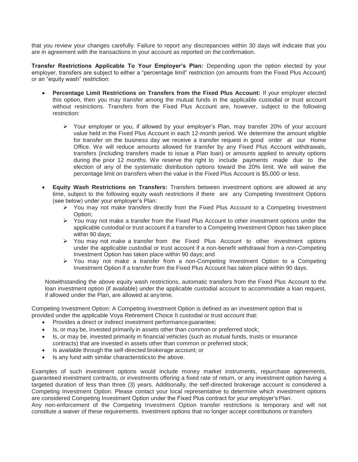that you review your changes carefully. Failure to report any discrepancies within 30 days will indicate that you are in agreement with the transactions in your account as reported on the confirmation.

**Transfer Restrictions Applicable To Your Employer's Plan:** Depending upon the option elected by your employer, transfers are subject to either a "percentage limit" restriction (on amounts from the Fixed Plus Account) *or* an "equity wash" restriction:

- **Percentage Limit Restrictions on Transfers from the Fixed Plus Account:** If your employer elected this option, then you may transfer among the mutual funds in the applicable custodial or trust account without restrictions. Transfers from the Fixed Plus Account are, however, subject to the following restriction:
	- Your employer or you, if allowed by your employer's Plan, may transfer 20% of your account value held in the Fixed Plus Account in each 12-month period. We determine the amount eligible for transfer on the business day we receive a transfer request in good order at our Home Office. We will reduce amounts allowed for transfer by any Fixed Plus Account withdrawals, transfers (including transfers made to issue a Plan loan) or amounts applied to annuity options during the prior 12 months. We reserve the right to include payments made due to the election of any of the systematic distribution options toward the 20% limit. We will waive the percentage limit on transfers when the value in the Fixed Plus Account is \$5,000 or less.
- **Equity Wash Restrictions on Transfers:** Transfers between investment options are allowed at any time, subject to the following equity wash restrictions if there are any Competing Investment Options (see below) under your employer's Plan:
	- $\triangleright$  You may not make transfers directly from the Fixed Plus Account to a Competing Investment Option;
	- $\triangleright$  You may not make a transfer from the Fixed Plus Account to other investment options under the applicable custodial or trust account if a transfer to a Competing Investment Option has taken place within 90 days;
	- $\triangleright$  You may not make a transfer from the Fixed Plus Account to other investment options under the applicable custodial or trust account if a non-benefit withdrawal from a non-Competing Investment Option has taken place within 90 days; and
	- $\triangleright$  You may not make a transfer from a non-Competing Investment Option to a Competing Investment Option if a transfer from the Fixed Plus Account has taken place within 90 days.

Notwithstanding the above equity wash restrictions, automatic transfers from the Fixed Plus Account to the loan investment option (if available) under the applicable custodial account to accommodate a loan request, if allowed under the Plan, are allowed at anytime.

Competing Investment Option: A Competing Investment Option is defined as an investment option that is provided under the applicable Voya Retirement Choice II custodial or trust account that:

- Provides a direct or indirect investment performance quarantee;
- Is, or may be, invested primarily in assets other than common or preferred stock;
- Is, or may be, invested primarily in financial vehicles (such as mutual funds, trusts or insurance contracts) that are invested in assets other than common or preferred stock;
- Is available through the self-directed brokerage account; or
- Is any fund with similar characteristicsto the above.

Examples of such investment options would include money market instruments, repurchase agreements, guaranteed investment contracts, or investments offering a fixed rate of return, or any investment option having a targeted duration of less than three (3) years. Additionally, the self-directed brokerage account is considered a Competing Investment Option. Please contact your local representative to determine which investment options are considered Competing Investment Option under the Fixed Plus contract for your employer'sPlan.

Any non-enforcement of the Competing Investment Option transfer restrictions is temporary and will not constitute a waiver of these requirements. Investment options that no longer accept contributions or transfers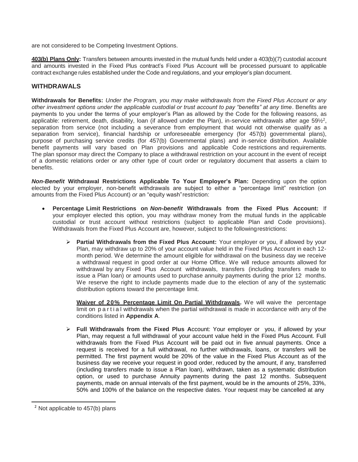are not considered to be Competing Investment Options.

**403(b) Plans Only:** Transfers between amounts invested in the mutual funds held under a 403(b)(7) custodial account and amounts invested in the Fixed Plus contract's Fixed Plus Account will be processed pursuant to applicable contract exchange rules established under the Code and regulations, and your employer's plan document.

#### **WITHDRAWALS**

**Withdrawals for Benefits:** *Under the Program, you may make withdrawals from the Fixed Plus Account or any other investment options under the applicable custodial or trust account to pay "benefits" at any time*. Benefits are payments to you under the terms of your employer's Plan as allowed by the Code for the following reasons, as applicable: retirement, death, disability, loan (if allowed under the Plan), in-service withdrawals after age 59½<sup>2</sup>, separation from service (not including a severance from employment that would not otherwise qualify as a separation from service), financial hardship or unforeseeable emergency (for 457(b) governmental plans), purpose of purchasing service credits (for 457(b) Governmental plans) and in-service distribution. Available benefit payments will vary based on Plan provisions and applicable Code restrictions and requirements. The plan sponsor may direct the Company to place a withdrawal restriction on your account in the event of receipt of a domestic relations order or any other type of court order or regulatory document that asserts a claim to benefits.

*Non-Benefit* **Withdrawal Restrictions Applicable To Your Employer's Plan:** Depending upon the option elected by your employer, non-benefit withdrawals are subject to either a "percentage limit" restriction (on amounts from the Fixed Plus Account) *or* an "equity wash"restriction:

- **Percentage Limit Restrictions on** *Non-benefit* **Withdrawals from the Fixed Plus Account:** If your employer elected this option, you may withdraw money from the mutual funds in the applicable custodial or trust account without restrictions (subject to applicable Plan and Code provisions). Withdrawals from the Fixed Plus Account are, however, subject to the followingrestrictions:
	- **Partial Withdrawals from the Fixed Plus Account:** Your employer or you, if allowed by your Plan, may withdraw up to 20% of your account value held in the Fixed Plus Account in each 12 month period. We determine the amount eligible for withdrawal on the business day we receive a withdrawal request in good order at our Home Office. We will reduce amounts allowed for withdrawal by any Fixed Plus Account withdrawals, transfers (including transfers made to issue a Plan loan) or amounts used to purchase annuity payments during the prior 12 months. We reserve the right to include payments made due to the election of any of the systematic distribution options toward the percentage limit.

**Waiver of 20% Percentage Limit On Partial Withdrawals.** We will waive the percentage limit on p a r t i a l withdrawals when the partial withdrawal is made in accordance with any of the conditions listed in **Appendix A**.

 **Full Withdrawals from the Fixed Plus A**ccount: Your employer or you, if allowed by your Plan, may request a full withdrawal of your account value held in the Fixed Plus Account. Full withdrawals from the Fixed Plus Account will be paid out in five annual payments. Once a request is received for a full withdrawal, no further withdrawals, loans, or transfers will be permitted. The first payment would be 20% of the value in the Fixed Plus Account as of the business day we receive your request in good order, reduced by the amount, if any, transferred (including transfers made to issue a Plan loan), withdrawn, taken as a systematic distribution option, or used to purchase Annuity payments during the past 12 months. Subsequent payments, made on annual intervals of the first payment, would be in the amounts of 25%, 33%, 50% and 100% of the balance on the respective dates. Your request may be cancelled at any

 $<sup>2</sup>$  Not applicable to 457(b) plans</sup>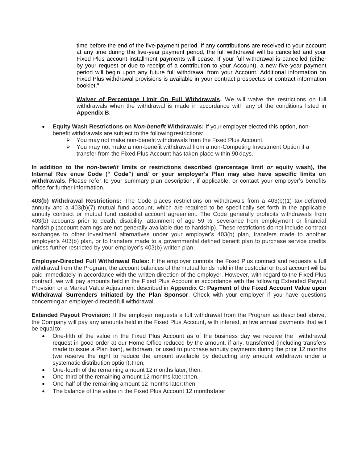time before the end of the five-payment period. If any contributions are received to your account at any time during the five-year payment period, the full withdrawal will be cancelled and your Fixed Plus account installment payments will cease. If your full withdrawal is cancelled (either by your request or due to receipt of a contribution to your Account), a new five-year payment period will begin upon any future full withdrawal from your Account. Additional information on Fixed Plus withdrawal provisions is available in your contract prospectus or contract information booklet."

**Waiver of Percentage Limit On Full Withdrawals.** We will waive the restrictions on full withdrawals when the withdrawal is made in accordance with any of the conditions listed in **Appendix B**.

- **Equity Wash Restrictions on** *Non-benefit* **Withdrawals:** If your employer elected this option, nonbenefit withdrawals are subject to the following restrictions:
	- $\triangleright$  You may not make non-benefit withdrawals from the Fixed Plus Account.
	- $\triangleright$  You may not make a non-benefit withdrawal from a non-Competing Investment Option if a transfer from the Fixed Plus Account has taken place within 90 days.

**In addition to the** *non-benefit* **limits or restrictions described (percentage limit** *or* **equity wash), the Internal Rev enue Code (" Code") and/ or your employer's Plan may also have specific limits on withdrawals**. Please refer to your summary plan description, if applicable, or contact your employer's benefits office for further information.

**403(b) Withdrawal Restrictions:** The Code places restrictions on withdrawals from a 403(b)(1) tax-deferred annuity and a 403(b)(7) mutual fund account, which are required to be specifically set forth in the applicable annuity contract or mutual fund custodial account agreement. The Code generally prohibits withdrawals from 403(b) accounts prior to death, disability, attainment of age 59 ½, severance from employment or financial hardship (account earnings are not generally available due to hardship). These restrictions do not include contract exchanges to other investment alternatives under your employer's 403(b) plan, transfers made to another employer's 403(b) plan, or to transfers made to a governmental defined benefit plan to purchase service credits unless further restricted by your employer's 403(b) written plan.

**Employer-Directed Full Withdrawal Rules:** If the employer controls the Fixed Plus contract and requests a full withdrawal from the Program, the account balances of the mutual funds held in the custodial or trust account will be paid immediately in accordance with the written direction of the employer. However, with regard to the Fixed Plus contract, we will pay amounts held in the Fixed Plus Account in accordance with the following Extended Payout Provision or a Market Value Adjustment described in **Appendix C: Payment of the Fixed Account Value upon Withdrawal Surrenders Initiated by the Plan Sponsor**. Check with your employer if you have questions concerning an employer-directed full withdrawal.

**Extended Payout Provision:** If the employer requests a full withdrawal from the Program as described above, the Company will pay any amounts held in the Fixed Plus Account, with interest, in five annual payments that will be equal to:

- One-fifth of the value in the Fixed Plus Account as of the business day we receive the withdrawal request in good order at our Home Office reduced by the amount, if any, transferred (including transfers made to issue a Plan loan), withdrawn, or used to purchase annuity payments during the prior 12 months (we reserve the right to reduce the amount available by deducting any amount withdrawn under a systematic distribution option); then,
- One-fourth of the remaining amount 12 months later; then,
- One-third of the remaining amount 12 months later;then,
- One-half of the remaining amount 12 months later;then,
- The balance of the value in the Fixed Plus Account 12 months later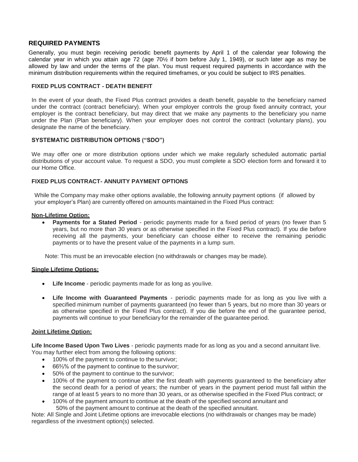### **REQUIRED PAYMENTS**

Generally, you must begin receiving periodic benefit payments by April 1 of the calendar year following the calendar year in which you attain age 72 (age 70½ if born before July 1, 1949), or such later age as may be allowed by law and under the terms of the plan. You must request required payments in accordance with the minimum distribution requirements within the required timeframes, or you could be subject to IRS penalties.

#### **FIXED PLUS CONTRACT - DEATH BENEFIT**

In the event of your death, the Fixed Plus contract provides a death benefit, payable to the beneficiary named under the contract (contract beneficiary). When your employer controls the group fixed annuity contract, your employer is the contract beneficiary, but may direct that we make any payments to the beneficiary you name under the Plan (Plan beneficiary). When your employer does not control the contract (voluntary plans), you designate the name of the beneficiary.

#### **SYSTEMATIC DISTRIBUTION OPTIONS ("SDO")**

We may offer one or more distribution options under which we make regularly scheduled automatic partial distributions of your account value. To request a SDO, you must complete a SDO election form and forward it to our Home Office.

#### **FIXED PLUS CONTRACT- ANNUITY PAYMENT OPTIONS**

While the Company may make other options available, the following annuity payment options (if allowed by your employer's Plan) are currently offered on amounts maintained in the Fixed Plus contract:

#### **Non-Lifetime Option:**

 **Payments for a Stated Period** - periodic payments made for a fixed period of years (no fewer than 5 years, but no more than 30 years or as otherwise specified in the Fixed Plus contract). If you die before receiving all the payments, your beneficiary can choose either to receive the remaining periodic payments or to have the present value of the payments in a lump sum.

Note: This must be an irrevocable election (no withdrawals or changes may be made).

#### **Single Lifetime Options:**

- **Life Income**  periodic payments made for as long as youlive.
- **Life Income with Guaranteed Payments**  periodic payments made for as long as you live with a specified minimum number of payments guaranteed (no fewer than 5 years, but no more than 30 years or as otherwise specified in the Fixed Plus contract). If you die before the end of the guarantee period, payments will continue to your beneficiary for the remainder of the guarantee period.

#### **Joint Lifetime Option:**

**Life Income Based Upon Two Lives** - periodic payments made for as long as you and a second annuitant live. You may further elect from among the following options:

- 100% of the payment to continue to thesurvivor;
- 66⅔% of the payment to continue to the survivor;
- 50% of the payment to continue to the survivor;
- 100% of the payment to continue after the first death with payments guaranteed to the beneficiary after the second death for a period of years; the number of years in the payment period must fall within the range of at least 5 years to no more than 30 years, or as otherwise specified in the Fixed Plus contract; or
- 100% of the payment amount to continue at the death of the specified second annuitant and 50% of the payment amount to continue at the death of the specified annuitant.

Note: All Single and Joint Lifetime options are irrevocable elections (no withdrawals or changes may be made) regardless of the investment option(s) selected.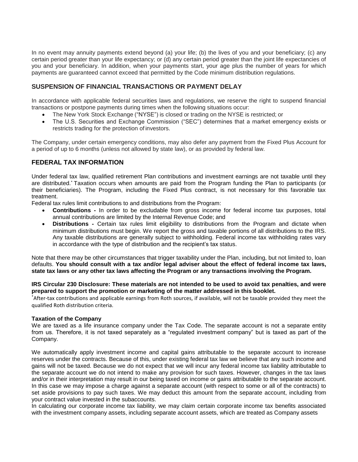In no event may annuity payments extend beyond (a) your life; (b) the lives of you and your beneficiary; (c) any certain period greater than your life expectancy; or (d) any certain period greater than the joint life expectancies of you and your beneficiary. In addition, when your payments start, your age plus the number of years for which payments are guaranteed cannot exceed that permitted by the Code minimum distribution regulations.

## **SUSPENSION OF FINANCIAL TRANSACTIONS OR PAYMENT DELAY**

In accordance with applicable federal securities laws and regulations, we reserve the right to suspend financial transactions or postpone payments during times when the following situations occur:

- The New York Stock Exchange ("NYSE") is closed or trading on the NYSE is restricted; or
- The U.S. Securities and Exchange Commission ("SEC") determines that a market emergency exists or restricts trading for the protection of investors.

The Company, under certain emergency conditions, may also defer any payment from the Fixed Plus Account for a period of up to 6 months (unless not allowed by state law), or as provided by federal law.

### **FEDERAL TAX INFORMATION**

Under federal tax law, qualified retirement Plan contributions and investment earnings are not taxable until they are distributed.\* Taxation occurs when amounts are paid from the Program funding the Plan to participants (or their beneficiaries). The Program, including the Fixed Plus contract, is not necessary for this favorable tax treatment.

Federal tax rules limit contributions to and distributions from the Program:

- **Contributions -** In order to be excludable from gross income for federal income tax purposes, total annual contributions are limited by the Internal Revenue Code; and
- **Distributions -** Certain tax rules limit eligibility to distributions from the Program and dictate when minimum distributions must begin. We report the gross and taxable portions of all distributions to the IRS. Any taxable distributions are generally subject to withholding. Federal income tax withholding rates vary in accordance with the type of distribution and the recipient's tax status.

Note that there may be other circumstances that trigger taxability under the Plan, including, but not limited to, loan defaults. **You should consult with a tax and/or legal adviser about the effect of federal income tax laws, state tax laws or any other tax laws affecting the Program or any transactions involving the Program.**

#### **IRS Circular 230 Disclosure: These materials are not intended to be used to avoid tax penalties, and were prepared to support the promotion or marketing of the matter addressed in this booklet.**

\*After-tax contributions and applicable earnings from Roth sources, if available, will not be taxable provided they meet the qualified Roth distribution criteria.

#### **Taxation of the Company**

We are taxed as a life insurance company under the Tax Code. The separate account is not a separate entity from us. Therefore, it is not taxed separately as a "regulated investment company" but is taxed as part of the Company.

We automatically apply investment income and capital gains attributable to the separate account to increase reserves under the contracts. Because of this, under existing federal tax law we believe that any such income and gains will not be taxed. Because we do not expect that we will incur any federal income tax liability attributable to the separate account we do not intend to make any provision for such taxes. However, changes in the tax laws and/or in their interpretation may result in our being taxed on income or gains attributable to the separate account. In this case we may impose a charge against a separate account (with respect to some or all of the contracts) to set aside provisions to pay such taxes. We may deduct this amount from the separate account, including from your contract value invested in the subaccounts.

In calculating our corporate income tax liability, we may claim certain corporate income tax benefits associated with the investment company assets, including separate account assets, which are treated as Company assets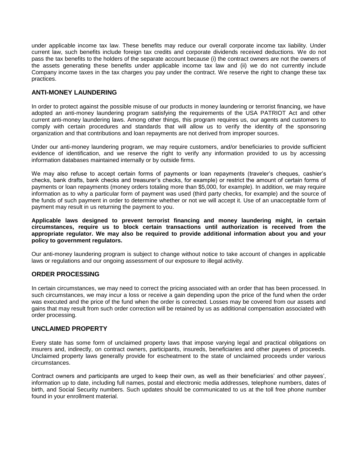under applicable income tax law. These benefits may reduce our overall corporate income tax liability. Under current law, such benefits include foreign tax credits and corporate dividends received deductions. We do not pass the tax benefits to the holders of the separate account because (i) the contract owners are not the owners of the assets generating these benefits under applicable income tax law and (ii) we do not currently include Company income taxes in the tax charges you pay under the contract. We reserve the right to change these tax practices.

## **ANTI-MONEY LAUNDERING**

In order to protect against the possible misuse of our products in money laundering or terrorist financing, we have adopted an anti-money laundering program satisfying the requirements of the USA PATRIOT Act and other current anti-money laundering laws. Among other things, this program requires us, our agents and customers to comply with certain procedures and standards that will allow us to verify the identity of the sponsoring organization and that contributions and loan repayments are not derived from improper sources.

Under our anti-money laundering program, we may require customers, and/or beneficiaries to provide sufficient evidence of identification, and we reserve the right to verify any information provided to us by accessing information databases maintained internally or by outside firms.

We may also refuse to accept certain forms of payments or loan repayments (traveler's cheques, cashier's checks, bank drafts, bank checks and treasurer's checks, for example) or restrict the amount of certain forms of payments or loan repayments (money orders totaling more than \$5,000, for example). In addition, we may require information as to why a particular form of payment was used (third party checks, for example) and the source of the funds of such payment in order to determine whether or not we will accept it. Use of an unacceptable form of payment may result in us returning the payment to you.

**Applicable laws designed to prevent terrorist financing and money laundering might, in certain circumstances, require us to block certain transactions until authorization is received from the appropriate regulator. We may also be required to provide additional information about you and your policy to government regulators.**

Our anti-money laundering program is subject to change without notice to take account of changes in applicable laws or regulations and our ongoing assessment of our exposure to illegal activity.

#### **ORDER PROCESSING**

In certain circumstances, we may need to correct the pricing associated with an order that has been processed. In such circumstances, we may incur a loss or receive a gain depending upon the price of the fund when the order was executed and the price of the fund when the order is corrected. Losses may be covered from our assets and gains that may result from such order correction will be retained by us as additional compensation associated with order processing.

#### **UNCLAIMED PROPERTY**

Every state has some form of unclaimed property laws that impose varying legal and practical obligations on insurers and, indirectly, on contract owners, participants, insureds, beneficiaries and other payees of proceeds. Unclaimed property laws generally provide for escheatment to the state of unclaimed proceeds under various circumstances.

Contract owners and participants are urged to keep their own, as well as their beneficiaries' and other payees', information up to date, including full names, postal and electronic media addresses, telephone numbers, dates of birth, and Social Security numbers. Such updates should be communicated to us at the toll free phone number found in your enrollment material.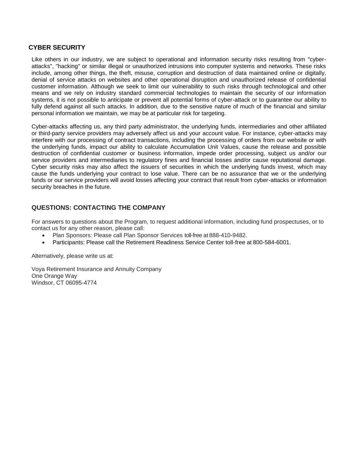#### **CYBER SECURITY**

Like others in our industry, we are subject to operational and information security risks resulting from "cyberattacks", "hacking" or similar illegal or unauthorized intrusions into computer systems and networks. These risks include, among other things, the theft, misuse, corruption and destruction of data maintained online or digitally, denial of service attacks on websites and other operational disruption and unauthorized release of confidential customer information. Although we seek to limit our vulnerability to such risks through technological and other means and we rely on industry standard commercial technologies to maintain the security of our information systems, it is not possible to anticipate or prevent all potential forms of cyber-attack or to guarantee our ability to fully defend against all such attacks. In addition, due to the sensitive nature of much of the financial and similar personal information we maintain, we may be at particular risk for targeting.

Cyber-attacks affecting us, any third party administrator, the underlying funds, intermediaries and other affiliated or third-party service providers may adversely affect us and your account value. For instance, cyber-attacks may interfere with our processing of contract transactions, including the processing of orders from our website or with the underlying funds, impact our ability to calculate Accumulation Unit Values, cause the release and possible destruction of confidential customer or business information, impede order processing, subject us and/or our service providers and intermediaries to regulatory fines and financial losses and/or cause reputational damage. Cyber security risks may also affect the issuers of securities in which the underlying funds invest, which may cause the funds underlying your contract to lose value. There can be no assurance that we or the underlying funds or our service providers will avoid losses affecting your contract that result from cyber-attacks or information security breaches in the future.

## **QUESTIONS: CONTACTING THE COMPANY**

For answers to questions about the Program, to request additional information, including fund prospectuses, or to contact us for any other reason, please call:

- Plan Sponsors: Please call Plan Sponsor Services toll-free at 888-410-9482.
- Participants: Please call the Retirement Readiness Service Center toll-free at 800-584-6001.

Alternatively, please write us at:

Voya Retirement Insurance and Annuity Company One Orange Way Windsor, CT 06095-4774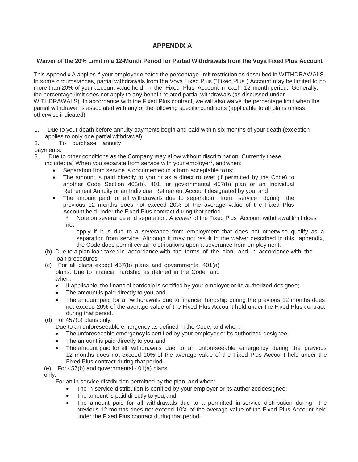## **APPENDIX A**

#### **Waiver of the 20% Limit in a 12-Month Period for Partial Withdrawals from the Voya Fixed Plus Account**

This Appendix A applies if your employer elected the percentage limit restriction as described in WITHDRAWALS. In some circumstances, partial withdrawals from the Voya Fixed Plus ("Fixed Plus") Account may be limited to no more than 20% of your account value held in the Fixed Plus Account in each 12-month period. Generally, the percentage limit does not apply to any benefit-related partial withdrawals (as discussed under WITHDRAWALS). In accordance with the Fixed Plus contract, we will also waive the percentage limit when the partial withdrawal is associated with any of the following specific conditions (applicable to all plans unless otherwise indicated):

- 1. Due to your death before annuity payments begin and paid within six months of your death (exception applies to only one partial withdrawal).
- 2. To purchase annuity

payments.

3. Due to other conditions as the Company may allow without discrimination. Currently these

- include: (a) When you separate from service with your employer\*, andwhen:
	- Separation from service is documented in a form acceptable to us;
	- The amount is paid directly to you or as a direct rollover (if permitted by the Code) to another Code Section 403(b), 401, or governmental 457(b) plan or an Individual Retirement Annuity or an Individual Retirement Account designated by you; and
	- The amount paid for all withdrawals due to separation from service during the previous 12 months does not exceed 20% of the average value of the Fixed Plus Account held under the Fixed Plus contract during that period.
		- Note on severance and separation: A *waiver* of the Fixed Plus Account withdrawal limit does not

apply if it is due to a severance from employment that does not otherwise qualify as a separation from service. Although it may not result in the waiver described in this appendix, the Code does permit certain distributions upon a severance from employment.

- (b) Due to a plan loan taken in accordance with the terms of the plan, and in accordance with the loan procedures.
- (c) For all plans except 457(b) plans and governmental 401(a) plans: Due to financial hardship as defined in the Code, and when:
	- If applicable, the financial hardship is certified by your employer or its authorized designee;
	- The amount is paid directly to you, and
	- The amount paid for all withdrawals due to financial hardship during the previous 12 months does not exceed 20% of the average value of the Fixed Plus Account held under the Fixed Plus contract during that period.
- (d) For 457(b) plans only:

Due to an unforeseeable emergency as defined in the Code, and when:

- The unforeseeable emergency is certified by your employer or its authorized designee;
- The amount is paid directly to you, and
- The amount paid for all withdrawals due to an unforeseeable emergency during the previous 12 months does not exceed 10% of the average value of the Fixed Plus Account held under the Fixed Plus contract during that period.

## (e) For 457(b) and governmental 401(a) plans

only:

For an in-service distribution permitted by the plan, and when:

- The in-service distribution is certified by your employer or its authorized designee;
- The amount is paid directly to you, and
- The amount paid for all withdrawals due to a permitted in-service distribution during the previous 12 months does not exceed 10% of the average value of the Fixed Plus Account held under the Fixed Plus contract during that period.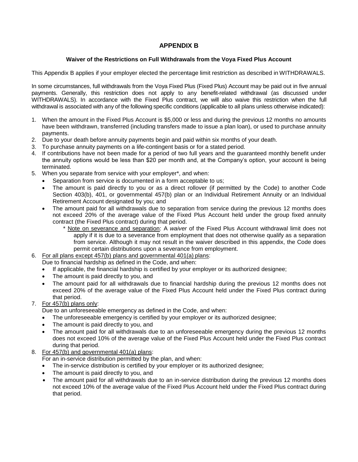## **APPENDIX B**

#### **Waiver of the Restrictions on Full Withdrawals from the Voya Fixed Plus Account**

This Appendix B applies if your employer elected the percentage limit restriction as described in WITHDRAWALS.

In some circumstances, full withdrawals from the Voya Fixed Plus (Fixed Plus) Account may be paid out in five annual payments. Generally, this restriction does not apply to any benefit-related withdrawal (as discussed under WITHDRAWALS). In accordance with the Fixed Plus contract, we will also waive this restriction when the full withdrawal is associated with any of the following specific conditions (applicable to all plans unless otherwise indicated):

- 1. When the amount in the Fixed Plus Account is \$5,000 or less and during the previous 12 months no amounts have been withdrawn, transferred (including transfers made to issue a plan loan), or used to purchase annuity payments.
- 2. Due to your death before annuity payments begin and paid within six months of your death.
- 3. To purchase annuity payments on a life-contingent basis or for a stated period.
- 4. If contributions have not been made for a period of two full years and the guaranteed monthly benefit under the annuity options would be less than \$20 per month and, at the Company's option, your account is being terminated.
- 5. When you separate from service with your employer\*, and when:
	- Separation from service is documented in a form acceptable to us;
	- The amount is paid directly to you or as a direct rollover (if permitted by the Code) to another Code Section 403(b), 401, or governmental 457(b) plan or an Individual Retirement Annuity or an Individual Retirement Account designated by you; and
	- The amount paid for all withdrawals due to separation from service during the previous 12 months does not exceed 20% of the average value of the Fixed Plus Account held under the group fixed annuity contract (the Fixed Plus contract) during that period.
		- \* Note on severance and separation: A *waiver* of the Fixed Plus Account withdrawal limit does not apply if it is due to a severance from employment that does not otherwise qualify as a separation from service. Although it may not result in the waiver described in this appendix, the Code does permit certain distributions upon a severance from employment.
- 6. For all plans except 457(b) plans and governmental 401(a) plans:

Due to financial hardship as defined in the Code, and when:

- If applicable, the financial hardship is certified by your employer or its authorized designee;
- The amount is paid directly to you, and
- The amount paid for all withdrawals due to financial hardship during the previous 12 months does not exceed 20% of the average value of the Fixed Plus Account held under the Fixed Plus contract during that period.

## 7. For 457(b) plans only:

Due to an unforeseeable emergency as defined in the Code, and when:

- The unforeseeable emergency is certified by your employer or its authorized designee;
- The amount is paid directly to you, and
- The amount paid for all withdrawals due to an unforeseeable emergency during the previous 12 months does not exceed 10% of the average value of the Fixed Plus Account held under the Fixed Plus contract during that period.

## 8. For 457(b) and governmental 401(a) plans:

For an in-service distribution permitted by the plan, and when:

- The in-service distribution is certified by your employer or its authorized designee;
- The amount is paid directly to you, and
- The amount paid for all withdrawals due to an in-service distribution during the previous 12 months does not exceed 10% of the average value of the Fixed Plus Account held under the Fixed Plus contract during that period.